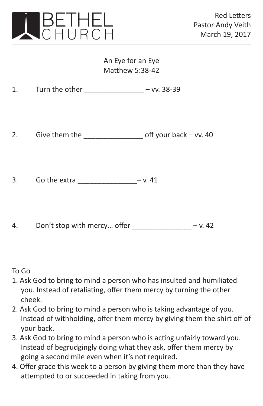

## An Eye for an Eye Matthew 5:38-42

2. Give them the off your back – vv. 40

3. Go the extra  $-v. 41$ 

4. Don't stop with mercy... offer  $- v. 42$ 

## To Go

- 1. Ask God to bring to mind a person who has insulted and humiliated you. Instead of retaliating, offer them mercy by turning the other cheek.
- 2. Ask God to bring to mind a person who is taking advantage of you. Instead of withholding, offer them mercy by giving them the shirt off of your back.
- 3. Ask God to bring to mind a person who is acting unfairly toward you. Instead of begrudgingly doing what they ask, offer them mercy by going a second mile even when it's not required.
- 4. Offer grace this week to a person by giving them more than they have attempted to or succeeded in taking from you.